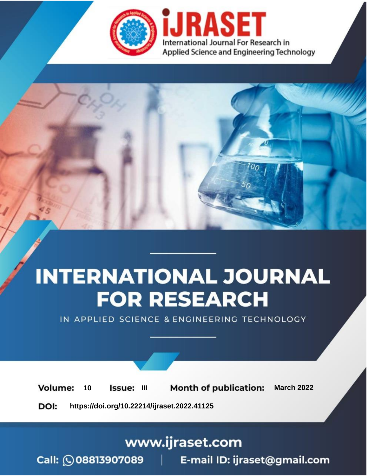

# **INTERNATIONAL JOURNAL FOR RESEARCH**

IN APPLIED SCIENCE & ENGINEERING TECHNOLOGY

**Month of publication: Volume:** 10 **Issue: III March 2022** DOI: https://doi.org/10.22214/ijraset.2022.41125

www.ijraset.com

Call: 008813907089 | E-mail ID: ijraset@gmail.com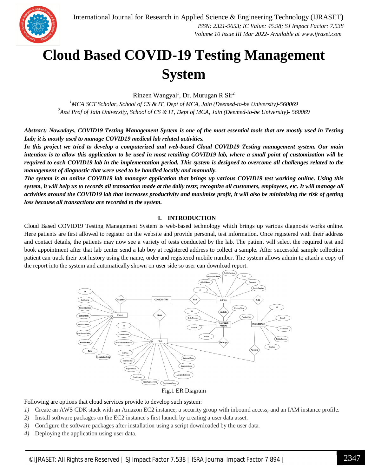

### **Cloud Based COVID-19 Testing Management System**

Rinzen Wangyal<sup>1</sup>, Dr. Murugan R Sir<sup>2</sup>

*<sup>1</sup>MCA SCT Scholar, School of CS & IT, Dept of MCA, Jain (Deemed-to-be University)-560069 <sup>2</sup>Asst Prof of Jain University, School of CS & IT, Dept of MCA, Jain (Deemed-to-be University)- 560069*

*Abstract: Nowadays, COVID19 Testing Management System is one of the most essential tools that are mostly used in Testing Lab; it is mostly used to manage COVID19 medical lab related activities.*

*In this project we tried to develop a computerized and web-based Cloud COVID19 Testing management system. Our main intention is to allow this application to be used in most retailing COVID19 lab, where a small point of customization will be required to each COVID19 lab in the implementation period. This system is designed to overcome all challenges related to the management of diagnostic that were used to be handled locally and manually.*

*The system is an online COVID19 lab manager application that brings up various COVID19 test working online. Using this system, it will help us to records all transaction made at the daily tests; recognize all customers, employees, etc. It will manage all activities around the COVID19 lab that increases productivity and maximize profit, it will also be minimizing the risk of getting loss because all transactions are recorded to the system.*

#### **I. INTRODUCTION**

Cloud Based COVID19 Testing Management System is web-based technology which brings up various diagnosis works online. Here patients are first allowed to register on the website and provide personal, test information. Once registered with their address and contact details, the patients may now see a variety of tests conducted by the lab. The patient will select the required test and book appointment after that lab center send a lab boy at registered address to collect a sample. After successful sample collection patient can track their test history using the name, order and registered mobile number. The system allows admin to attach a copy of the report into the system and automatically shown on user side so user can download report.



#### Fig.1 ER Diagram

Following are options that cloud services provide to develop such system:

- *1)* Create an AWS CDK stack with an Amazon EC2 instance, a security group with inbound access, and an IAM instance profile.
- *2)* Install software packages on the EC2 instance's first launch by creating a user data asset.
- *3)* Configure the software packages after installation using a script downloaded by the user data.
- *4)* Deploying the application using user data.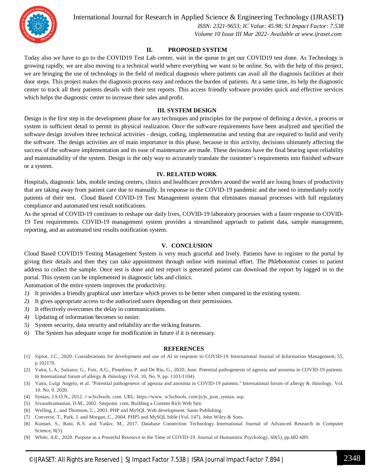

International Journal for Research in Applied Science & Engineering Technology (IJRASET**)**

 *ISSN: 2321-9653; IC Value: 45.98; SJ Impact Factor: 7.538 Volume 10 Issue III Mar 2022- Available at www.ijraset.com*

#### **II. PROPOSED SYSTEM**

Today also we have to go to the COVID19 Test Lab center, wait in the queue to get our COVID19 test done. As Technology is growing rapidly, we are also moving to a technical world where everything we want to be online. So, with the help of this project, we are bringing the use of technology in the field of medical diagnosis where patients can avail all the diagnosis facilities at their door steps. This project makes the diagnosis process easy and reduces the burden of patients. At a same time, its help the diagnostic center to track all their patients details with their test reports. This access friendly software provides quick and effective services which helps the diagnostic center to increase their sales and profit.

#### **III. SYSTEM DESIGN**

Design is the first step in the development phase for any techniques and principles for the purpose of defining a device, a process or system in sufficient detail to permit its physical realization. Once the software requirements have been analyzed and specified the software design involves three technical activities - design, coding, implementation and testing that are required to build and verify the software. The design activities are of main importance in this phase, because in this activity, decisions ultimately affecting the success of the software implementation and its ease of maintenance are made. These decisions have the final bearing upon reliability and maintainability of the system. Design is the only way to accurately translate the customer's requirements into finished software or a system.

#### **IV. RELATED WORK**

Hospitals, diagnostic labs, mobile testing centers, clinics and healthcare providers around the world are losing hours of productivity that are taking away from patient care due to manually. In response to the COVID-19 pandemic and the need to immediately notify patients of their test. Cloud Based COVID-19 Test Management system that eliminates manual processes with full regulatory compliance and automated test result notifications.

As the spread of COVID-19 continues to reshape our daily lives, COVID-19 laboratory processes with a faster response to COVID-19 Test requirements. COVID-19 management system provides a streamlined approach to patient data, sample management, reporting, and an automated test results notification system.

#### **V. CONCLUSION**

Cloud Based COVID19 Testing Management System is very much graceful and lively. Patients have to register to the portal by giving their details and then they can take appointment through online with minimal effort. The Phlebotomist comes to patient address to collect the sample. Once test is done and test report is generated patient can download the report by logged in to the portal. This system can be implemented in diagnostic labs and clinics.

Automation of the entire system improves the productivity.

- *1)* It provides a friendly graphical user interface which proves to be better when compared to the existing system.
- *2)* It gives appropriate access to the authorized users depending on their permissions.
- *3)* It effectively overcomes the delay in communications.
- *4)* Updating of information becomes so easier.
- *5)* System security, data security and reliability are the striking features.
- *6)* The System has adequate scope for modification in future if it is necessary.

#### **REFERENCES**

- [1] Sipior, J.C., 2020. Considerations for development and use of AI in response to COVID-19. International Journal of Information Management, 55, p.102170.
- [2] Vaira, L.A., Salzano, G., Fois, A.G., Piombino, P. and De Riu, G., 2020, June. Potential pathogenesis of ageusia and anosmia in COVID-19 patients. In International forum of allergy & rhinology (Vol. 10, No. 9, pp. 1103-1104).
- [3] Vaira, Luigi Angelo, et al. "Potential pathogenesis of ageusia and anosmia in COVID-19 patients." International forum of allergy & rhinology. Vol. 10. No. 9. 2020.
- [4] Syntax, J.S.O.N., 2012. // w3schools. com. URL: https://www. w3schools. com/js/js\_json\_syntax. asp.
- [5] Sivasubramanian, D.M., 2002. Sitepoint. com. Building a Content Rich Web Site.
- [6] Welling, L. and Thomson, L., 2003. PHP and MySQL Web development. Sams Publishing.
- [7] Converse, T., Park, J. and Morgan, C., 2004. PHP5 and MySQL bible (Vol. 147). John Wiley & Sons.
- [8] Kumari, S., Rani, K.S. and Yadav, M., 2017. Database Connection Technology. International Journal of Advanced Research in Computer Science, 8(5).
- [9] White, A.E., 2020. Purpose as a Powerful Resource in the Time of COVID-19. Journal of Humanistic Psychology, 60(5), pp.682-689.